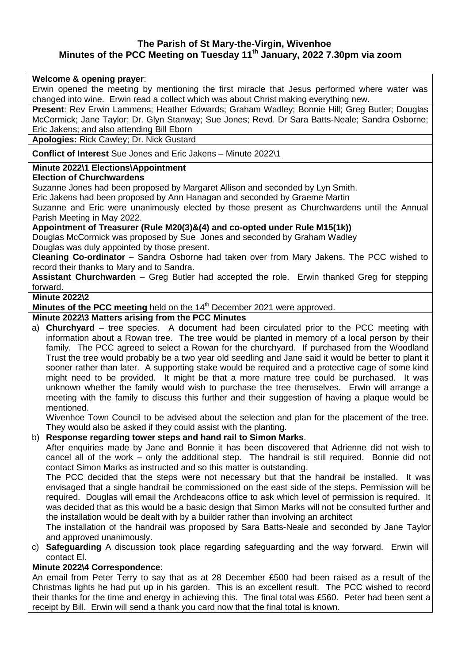# **The Parish of St Mary-the-Virgin, Wivenhoe Minutes of the PCC Meeting on Tuesday 11th January, 2022 7.30pm via zoom**

### **Welcome & opening prayer**:

Erwin opened the meeting by mentioning the first miracle that Jesus performed where water was changed into wine. Erwin read a collect which was about Christ making everything new.

**Present**: Rev Erwin Lammens; Heather Edwards; Graham Wadley; Bonnie Hill; Greg Butler; Douglas McCormick; Jane Taylor; Dr. Glyn Stanway; Sue Jones; Revd. Dr Sara Batts-Neale; Sandra Osborne; Eric Jakens; and also attending Bill Eborn

**Apologies:** Rick Cawley; Dr. Nick Gustard

**Conflict of Interest** Sue Jones and Eric Jakens – Minute 2022\1

### **Minute 2022\1 Elections\Appointment**

### **Election of Churchwardens**

Suzanne Jones had been proposed by Margaret Allison and seconded by Lyn Smith.

Eric Jakens had been proposed by Ann Hanagan and seconded by Graeme Martin

Suzanne and Eric were unanimously elected by those present as Churchwardens until the Annual Parish Meeting in May 2022.

# **Appointment of Treasurer (Rule M20(3)&(4) and co-opted under Rule M15(1k))**

Douglas McCormick was proposed by Sue Jones and seconded by Graham Wadley Douglas was duly appointed by those present.

**Cleaning Co-ordinator** – Sandra Osborne had taken over from Mary Jakens. The PCC wished to record their thanks to Mary and to Sandra.

**Assistant Churchwarden** – Greg Butler had accepted the role. Erwin thanked Greg for stepping forward.

### **Minute 2022\2**

**Minutes of the PCC meeting** held on the 14<sup>th</sup> December 2021 were approved.

# **Minute 2022\3 Matters arising from the PCC Minutes**

a) **Churchyard** – tree species. A document had been circulated prior to the PCC meeting with information about a Rowan tree. The tree would be planted in memory of a local person by their family. The PCC agreed to select a Rowan for the churchyard. If purchased from the Woodland Trust the tree would probably be a two year old seedling and Jane said it would be better to plant it sooner rather than later. A supporting stake would be required and a protective cage of some kind might need to be provided. It might be that a more mature tree could be purchased. It was unknown whether the family would wish to purchase the tree themselves. Erwin will arrange a meeting with the family to discuss this further and their suggestion of having a plaque would be mentioned.

Wivenhoe Town Council to be advised about the selection and plan for the placement of the tree. They would also be asked if they could assist with the planting.

### b) **Response regarding tower steps and hand rail to Simon Marks**.

After enquiries made by Jane and Bonnie it has been discovered that Adrienne did not wish to cancel all of the work – only the additional step. The handrail is still required. Bonnie did not contact Simon Marks as instructed and so this matter is outstanding.

The PCC decided that the steps were not necessary but that the handrail be installed. It was envisaged that a single handrail be commissioned on the east side of the steps. Permission will be required. Douglas will email the Archdeacons office to ask which level of permission is required. It was decided that as this would be a basic design that Simon Marks will not be consulted further and the installation would be dealt with by a builder rather than involving an architect

The installation of the handrail was proposed by Sara Batts-Neale and seconded by Jane Taylor and approved unanimously.

c) **Safeguarding** A discussion took place regarding safeguarding and the way forward. Erwin will contact El.

# **Minute 2022\4 Correspondence**:

An email from Peter Terry to say that as at 28 December £500 had been raised as a result of the Christmas lights he had put up in his garden. This is an excellent result. The PCC wished to record their thanks for the time and energy in achieving this. The final total was £560. Peter had been sent a receipt by Bill. Erwin will send a thank you card now that the final total is known.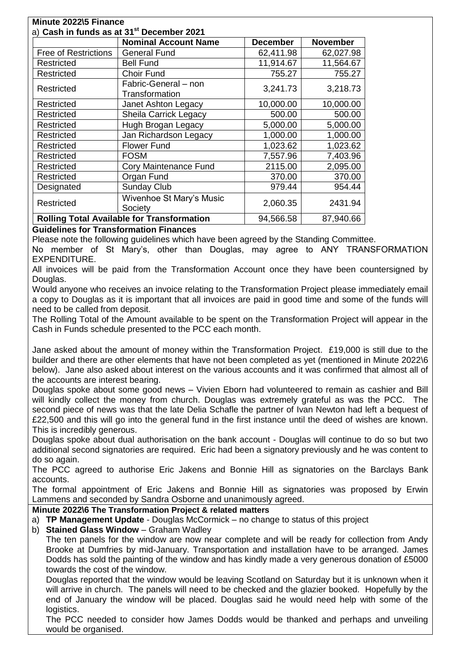|                                                   | <b>Nominal Account Name</b>            | <b>December</b> | <b>November</b> |
|---------------------------------------------------|----------------------------------------|-----------------|-----------------|
| <b>Free of Restrictions</b>                       | <b>General Fund</b>                    | 62,411.98       | 62,027.98       |
| Restricted                                        | <b>Bell Fund</b>                       | 11,914.67       | 11,564.67       |
| Restricted                                        | Choir Fund                             | 755.27          | 755.27          |
| Restricted                                        | Fabric-General - non<br>Transformation | 3,241.73        | 3,218.73        |
| Restricted                                        | Janet Ashton Legacy                    | 10,000.00       | 10,000.00       |
| Restricted                                        | <b>Sheila Carrick Legacy</b>           | 500.00          | 500.00          |
| <b>Restricted</b>                                 | Hugh Brogan Legacy                     | 5,000.00        | 5,000.00        |
| Restricted                                        | Jan Richardson Legacy                  | 1,000.00        | 1,000.00        |
| Restricted                                        | <b>Flower Fund</b>                     | 1,023.62        | 1,023.62        |
| Restricted                                        | <b>FOSM</b>                            | 7,557.96        | 7,403.96        |
| Restricted                                        | Cory Maintenance Fund                  | 2115.00         | 2,095.00        |
| Restricted                                        | Organ Fund                             | 370.00          | 370.00          |
| Designated                                        | Sunday Club                            | 979.44          | 954.44          |
| <b>Restricted</b>                                 | Wivenhoe St Mary's Music<br>Society    | 2,060.35        | 2431.94         |
| <b>Rolling Total Available for Transformation</b> |                                        | 94,566.58       | 87,940.66       |

# **Guidelines for Transformation Finances**

Please note the following guidelines which have been agreed by the Standing Committee.

No member of St Mary's, other than Douglas, may agree to ANY TRANSFORMATION EXPENDITURE.

All invoices will be paid from the Transformation Account once they have been countersigned by Douglas.

Would anyone who receives an invoice relating to the Transformation Project please immediately email a copy to Douglas as it is important that all invoices are paid in good time and some of the funds will need to be called from deposit.

The Rolling Total of the Amount available to be spent on the Transformation Project will appear in the Cash in Funds schedule presented to the PCC each month.

Jane asked about the amount of money within the Transformation Project. £19,000 is still due to the builder and there are other elements that have not been completed as yet (mentioned in Minute 2022\6 below). Jane also asked about interest on the various accounts and it was confirmed that almost all of the accounts are interest bearing.

Douglas spoke about some good news – Vivien Eborn had volunteered to remain as cashier and Bill will kindly collect the money from church. Douglas was extremely grateful as was the PCC. The second piece of news was that the late Delia Schafle the partner of Ivan Newton had left a bequest of £22,500 and this will go into the general fund in the first instance until the deed of wishes are known. This is incredibly generous.

Douglas spoke about dual authorisation on the bank account - Douglas will continue to do so but two additional second signatories are required. Eric had been a signatory previously and he was content to do so again.

The PCC agreed to authorise Eric Jakens and Bonnie Hill as signatories on the Barclays Bank accounts.

The formal appointment of Eric Jakens and Bonnie Hill as signatories was proposed by Erwin Lammens and seconded by Sandra Osborne and unanimously agreed.

### **Minute 2022\6 The Transformation Project & related matters**

a) **TP Management Update** - Douglas McCormick – no change to status of this project

b) **Stained Glass Window** – Graham Wadley

The ten panels for the window are now near complete and will be ready for collection from Andy Brooke at Dumfries by mid-January. Transportation and installation have to be arranged. James Dodds has sold the painting of the window and has kindly made a very generous donation of £5000 towards the cost of the window.

Douglas reported that the window would be leaving Scotland on Saturday but it is unknown when it will arrive in church. The panels will need to be checked and the glazier booked. Hopefully by the end of January the window will be placed. Douglas said he would need help with some of the logistics.

The PCC needed to consider how James Dodds would be thanked and perhaps and unveiling would be organised.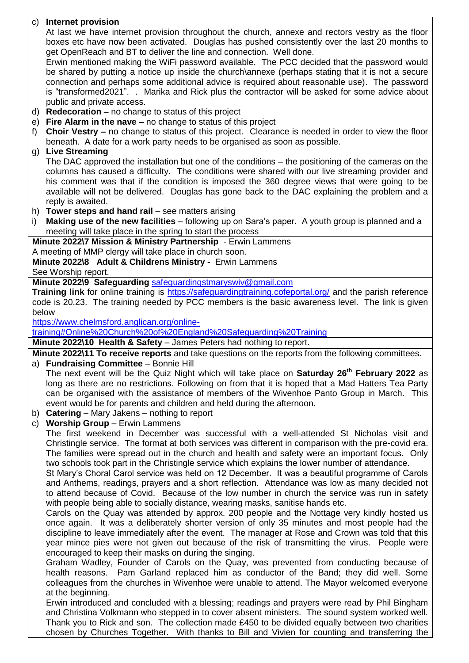c) **Internet provision** At last we have internet provision throughout the church, annexe and rectors vestry as the floor boxes etc have now been activated. Douglas has pushed consistently over the last 20 months to get OpenReach and BT to deliver the line and connection. Well done. Erwin mentioned making the WiFi password available. The PCC decided that the password would be shared by putting a notice up inside the church\annexe (perhaps stating that it is not a secure connection and perhaps some additional advice is required about reasonable use). The password is "transformed2021". . Marika and Rick plus the contractor will be asked for some advice about public and private access. d) **Redecoration –** no change to status of this project e) **Fire Alarm in the nave –** no change to status of this project f) **Choir Vestry –** no change to status of this project. Clearance is needed in order to view the floor beneath. A date for a work party needs to be organised as soon as possible. g) **Live Streaming**  The DAC approved the installation but one of the conditions – the positioning of the cameras on the columns has caused a difficulty. The conditions were shared with our live streaming provider and his comment was that if the condition is imposed the 360 degree views that were going to be available will not be delivered. Douglas has gone back to the DAC explaining the problem and a reply is awaited. h) **Tower steps and hand rail** – see matters arising i) **Making use of the new facilities** – following up on Sara's paper. A youth group is planned and a meeting will take place in the spring to start the process **Minute 2022\7 Mission & Ministry Partnership** - Erwin Lammens A meeting of MMP clergy will take place in church soon. **Minute 2022\8 Adult & Childrens Ministry -** Erwin Lammens See Worship report. **Minute 2022\9 Safeguarding** [safeguardingstmaryswiv@gmail.com](mailto:safeguardingstmaryswiv@gmail.com) **Training link** for online training is<https://safeguardingtraining.cofeportal.org/> and the parish reference code is 20.23. The training needed by PCC members is the basic awareness level. The link is given below [https://www.chelmsford.anglican.org/online](https://www.chelmsford.anglican.org/online-training#Online%20Church%20of%20England%20Safeguarding%20Training)[training#Online%20Church%20of%20England%20Safeguarding%20Training](https://www.chelmsford.anglican.org/online-training#Online%20Church%20of%20England%20Safeguarding%20Training) **Minute 2022\10 Health & Safety** – James Peters had nothing to report. **Minute 2022\11 To receive reports** and take questions on the reports from the following committees. a) **Fundraising Committee** – Bonnie Hill The next event will be the Quiz Night which will take place on **Saturday 26th February 2022** as long as there are no restrictions. Following on from that it is hoped that a Mad Hatters Tea Party can be organised with the assistance of members of the Wivenhoe Panto Group in March. This event would be for parents and children and held during the afternoon. b) **Catering** – Mary Jakens – nothing to report c) **Worship Group** – Erwin Lammens The first weekend in December was successful with a well-attended St Nicholas visit and Christingle service. The format at both services was different in comparison with the pre-covid era. The families were spread out in the church and health and safety were an important focus. Only two schools took part in the Christingle service which explains the lower number of attendance. St Mary's Choral Carol service was held on 12 December. It was a beautiful programme of Carols and Anthems, readings, prayers and a short reflection. Attendance was low as many decided not to attend because of Covid. Because of the low number in church the service was run in safety with people being able to socially distance, wearing masks, sanitise hands etc. Carols on the Quay was attended by approx. 200 people and the Nottage very kindly hosted us once again. It was a deliberately shorter version of only 35 minutes and most people had the discipline to leave immediately after the event. The manager at Rose and Crown was told that this year mince pies were not given out because of the risk of transmitting the virus. People were encouraged to keep their masks on during the singing. Graham Wadley, Founder of Carols on the Quay, was prevented from conducting because of health reasons. Pam Garland replaced him as conductor of the Band; they did well. Some colleagues from the churches in Wivenhoe were unable to attend. The Mayor welcomed everyone at the beginning. Erwin introduced and concluded with a blessing; readings and prayers were read by Phil Bingham and Christina Volkmann who stepped in to cover absent ministers. The sound system worked well. Thank you to Rick and son. The collection made £450 to be divided equally between two charities chosen by Churches Together. With thanks to Bill and Vivien for counting and transferring the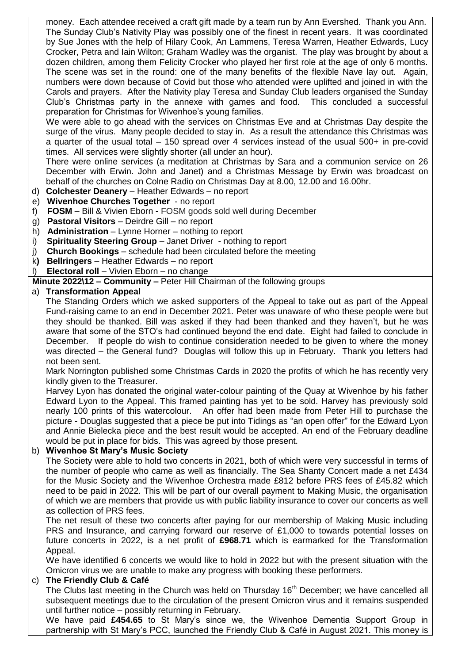money. Each attendee received a craft gift made by a team run by Ann Evershed. Thank you Ann. The Sunday Club's Nativity Play was possibly one of the finest in recent years. It was coordinated by Sue Jones with the help of Hilary Cook, An Lammens, Teresa Warren, Heather Edwards, Lucy Crocker, Petra and Iain Wilton; Graham Wadley was the organist. The play was brought by about a dozen children, among them Felicity Crocker who played her first role at the age of only 6 months. The scene was set in the round: one of the many benefits of the flexible Nave lay out. Again, numbers were down because of Covid but those who attended were uplifted and joined in with the Carols and prayers. After the Nativity play Teresa and Sunday Club leaders organised the Sunday Club's Christmas party in the annexe with games and food. This concluded a successful preparation for Christmas for Wivenhoe's young families.

We were able to go ahead with the services on Christmas Eve and at Christmas Day despite the surge of the virus. Many people decided to stay in. As a result the attendance this Christmas was a quarter of the usual total – 150 spread over 4 services instead of the usual 500+ in pre-covid times. All services were slightly shorter (all under an hour).

There were online services (a meditation at Christmas by Sara and a communion service on 26 December with Erwin. John and Janet) and a Christmas Message by Erwin was broadcast on behalf of the churches on Colne Radio on Christmas Day at 8.00, 12.00 and 16.00hr.

- d) **Colchester Deanery** Heather Edwards no report
- e) **Wivenhoe Churches Together** no report
- f) **FOSM**  Bill & Vivien Eborn FOSM goods sold well during December
- g) **Pastoral Visitors** Deirdre Gill no report
- h) **Administration** Lynne Horner nothing to report
- i) **Spirituality Steering Group** Janet Driver nothing to report
- j) **Church Bookings** schedule had been circulated before the meeting
- k**) Bellringers** Heather Edwards no report
- l) **Electoral roll** Vivien Eborn no change

**Minute 2022\12 – Community –** Peter Hill Chairman of the following groups

# a) **Transformation Appeal**

The Standing Orders which we asked supporters of the Appeal to take out as part of the Appeal Fund-raising came to an end in December 2021. Peter was unaware of who these people were but they should be thanked. Bill was asked if they had been thanked and they haven't, but he was aware that some of the STO's had continued beyond the end date. Eight had failed to conclude in December. If people do wish to continue consideration needed to be given to where the money was directed – the General fund? Douglas will follow this up in February. Thank you letters had not been sent.

Mark Norrington published some Christmas Cards in 2020 the profits of which he has recently very kindly given to the Treasurer.

Harvey Lyon has donated the original water-colour painting of the Quay at Wivenhoe by his father Edward Lyon to the Appeal. This framed painting has yet to be sold. Harvey has previously sold nearly 100 prints of this watercolour. An offer had been made from Peter Hill to purchase the picture - Douglas suggested that a piece be put into Tidings as "an open offer" for the Edward Lyon and Annie Bielecka piece and the best result would be accepted. An end of the February deadline would be put in place for bids. This was agreed by those present.

### b) **Wivenhoe St Mary's Music Society**

The Society were able to hold two concerts in 2021, both of which were very successful in terms of the number of people who came as well as financially. The Sea Shanty Concert made a net £434 for the Music Society and the Wivenhoe Orchestra made £812 before PRS fees of £45.82 which need to be paid in 2022. This will be part of our overall payment to Making Music, the organisation of which we are members that provide us with public liability insurance to cover our concerts as well as collection of PRS fees.

The net result of these two concerts after paying for our membership of Making Music including PRS and Insurance, and carrying forward our reserve of £1,000 to towards potential losses on future concerts in 2022, is a net profit of **£968.71** which is earmarked for the Transformation Appeal.

We have identified 6 concerts we would like to hold in 2022 but with the present situation with the Omicron virus we are unable to make any progress with booking these performers.

### c) **The Friendly Club & Café**

The Clubs last meeting in the Church was held on Thursday 16<sup>th</sup> December; we have cancelled all subsequent meetings due to the circulation of the present Omicron virus and it remains suspended until further notice – possibly returning in February.

We have paid **£454.65** to St Mary's since we, the Wivenhoe Dementia Support Group in partnership with St Mary's PCC, launched the Friendly Club & Café in August 2021. This money is